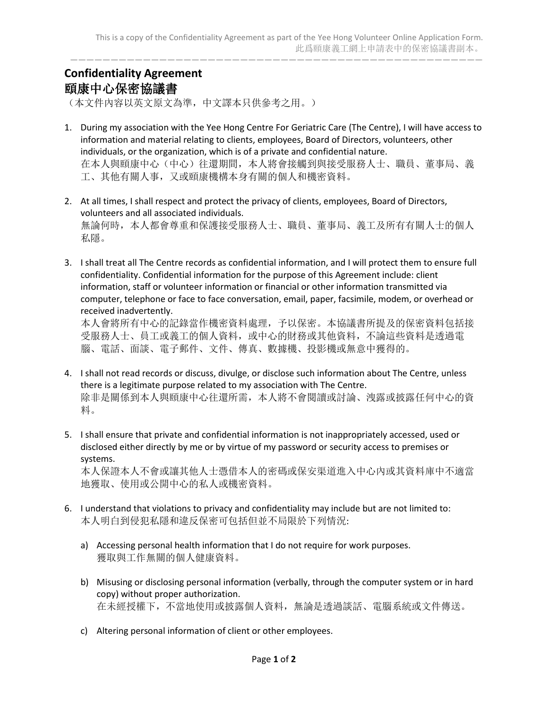———————————————————————————————————————————————————

## **Confidentiality Agreement** 頤康中心保密協議書

(本文件內容以英文原文為準,中文譯本只供參考之用。)

- 1. During my association with the Yee Hong Centre For Geriatric Care (The Centre), I will have access to information and material relating to clients, employees, Board of Directors, volunteers, other individuals, or the organization, which is of a private and confidential nature. 在本人與頤康中心(中心)往還期間,本人將會接觸到與接受服務人士、職員、董事局、義 工、其他有關人事,又或頤康機構本身有關的個人和機密資料。
- 2. At all times, I shall respect and protect the privacy of clients, employees, Board of Directors, volunteers and all associated individuals. 無論何時,本人都會尊重和保護接受服務人士、職員、董事局、義工及所有有關人士的個人 私隱。
- 3. I shall treat all The Centre records as confidential information, and I will protect them to ensure full confidentiality. Confidential information for the purpose of this Agreement include: client information, staff or volunteer information or financial or other information transmitted via computer, telephone or face to face conversation, email, paper, facsimile, modem, or overhead or received inadvertently.

本人會將所有中心的記錄當作機密資料處理,予以保密。本協議書所提及的保密資料包括接 受服務人士、員工或義工的個人資料,或中心的財務或其他資料,不論這些資料是透過電 腦、電話、面談、電子郵件、文件、傳真、數據機、投影機或無意中獲得的。

- 4. I shall not read records or discuss, divulge, or disclose such information about The Centre, unless there is a legitimate purpose related to my association with The Centre. 除非是關係到本人與頤康中心往還所需,本人將不會閱讀或討論、洩露或披露任何中心的資 料。
- 5. I shall ensure that private and confidential information is not inappropriately accessed, used or disclosed either directly by me or by virtue of my password or security access to premises or systems.

本人保證本人不會或讓其他人士憑借本人的密碼或保安渠道進入中心內或其資料庫中不適當 地獲取、使用或公開中心的私人或機密資料。

- 6. I understand that violations to privacy and confidentiality may include but are not limited to: 本人明白到侵犯私隱和違反保密可包括但並不局限於下列情況:
	- a) Accessing personal health information that I do not require for work purposes. 獲取與工作無關的個人健康資料。
	- b) Misusing or disclosing personal information (verbally, through the computer system or in hard copy) without proper authorization. 在未經授權下,不當地使用或披露個人資料,無論是透過談話、電腦系統或文件傳送。
	- c) Altering personal information of client or other employees.